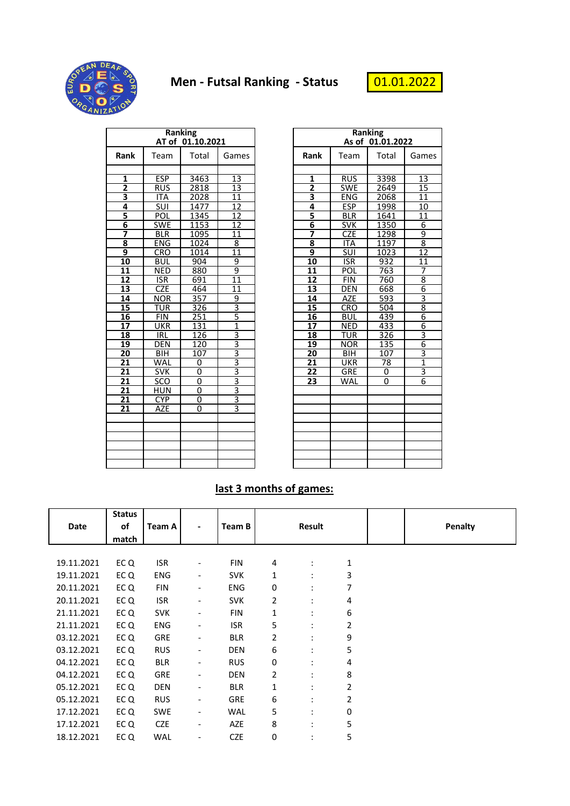

## **Men - Futsal Ranking - Status**



|                         |            | Ranking<br>AT of 01.10.2021 |                 |                         | Ranking<br>As of 01.01.2022 |       |                 |  |
|-------------------------|------------|-----------------------------|-----------------|-------------------------|-----------------------------|-------|-----------------|--|
| Rank                    | Team       | Total                       | Games           | Rank                    | Team                        | Total | Gam             |  |
|                         |            |                             |                 |                         |                             |       |                 |  |
| 1                       | <b>ESP</b> | 3463                        | 13              | 1                       | <b>RUS</b>                  | 3398  | 13              |  |
| $\overline{2}$          | <b>RUS</b> | 2818                        | 13              | $\overline{2}$          | <b>SWE</b>                  | 2649  | $\overline{15}$ |  |
| 3                       | <b>ITA</b> | 2028                        | 11              | $\overline{\mathbf{3}}$ | <b>ENG</b>                  | 2068  | 11              |  |
| 4                       | <b>SUI</b> | 1477                        | 12              | 4                       | <b>ESP</b>                  | 1998  | 10              |  |
| 5                       | POL        | 1345                        | 12              | $\frac{5}{6}$           | <b>BLR</b>                  | 1641  | 11              |  |
| $\overline{\mathbf{6}}$ | <b>SWE</b> | 1153                        | 12              |                         | <b>SVK</b>                  | 1350  | 6               |  |
| 7                       | <b>BLR</b> | 1095                        | 11              | 7                       | <b>CZE</b>                  | 1298  | 9               |  |
| 8                       | <b>ENG</b> | 1024                        | 8               | 8                       | <b>ITA</b>                  | 1197  | $\overline{8}$  |  |
| 9                       | <b>CRO</b> | 1014                        | $\overline{11}$ | $\overline{9}$          | SUI                         | 1023  | $\overline{12}$ |  |
| 10                      | <b>BUL</b> | 904                         | 9               | 10                      | <b>ISR</b>                  | 932   | $\overline{11}$ |  |
| 11                      | <b>NED</b> | 880                         | 9               | 11                      | POL                         | 763   | $\overline{7}$  |  |
| 12                      | <b>ISR</b> | 691                         | 11              | 12                      | <b>FIN</b>                  | 760   | $\overline{8}$  |  |
| 13                      | <b>CZE</b> | 464                         | 11              | 13                      | <b>DEN</b>                  | 668   |                 |  |
| 14                      | <b>NOR</b> | 357                         | 9               | 14                      | AZE                         | 593   | $\frac{6}{8}$   |  |
| 15                      | <b>TUR</b> | 326                         | $\overline{3}$  | 15                      | <b>CRO</b>                  | 504   |                 |  |
| 16                      | <b>FIN</b> | $\overline{251}$            | 5               | 16                      | <b>BUL</b>                  | 439   | $\overline{6}$  |  |
| $\overline{17}$         | <b>UKR</b> | 131                         | $\overline{1}$  | $\overline{17}$         | <b>NED</b>                  | 433   | $\frac{6}{3}$   |  |
| 18                      | <b>IRL</b> | 126                         | $\overline{3}$  | 18                      | <b>TUR</b>                  | 326   |                 |  |
| 19                      | <b>DEN</b> | 120                         | $\overline{3}$  | 19                      | <b>NOR</b>                  | 135   |                 |  |
| 20                      | <b>BIH</b> | 107                         | $\overline{3}$  | 20                      | <b>BIH</b>                  | 107   | $rac{6}{3}$     |  |
| 21                      | WAL        | 0                           | $\overline{3}$  | $\overline{21}$         | <b>UKR</b>                  | 78    | $\frac{1}{3}$   |  |
| 21                      | <b>SVK</b> | $\overline{0}$              |                 | 22                      | GRE                         | 0     |                 |  |
| 21                      | SCO        | 0                           | $\frac{3}{3}$   | 23                      | WAL                         | 0     | $6 \overline{}$ |  |
| 21                      | <b>HUN</b> | 0                           | $rac{3}{3}$     |                         |                             |       |                 |  |
| 21                      | <b>CYP</b> | $\overline{0}$              |                 |                         |                             |       |                 |  |
| 21                      | AZE        | 0                           | 3               |                         |                             |       |                 |  |
|                         |            |                             |                 |                         |                             |       |                 |  |
|                         |            |                             |                 |                         |                             |       |                 |  |

|                                                                       |            | <b>Ranking</b><br>AT of 01.10.2021 |                | <b>Ranking</b><br>As of 01.01.2022 |                          |              |                         |
|-----------------------------------------------------------------------|------------|------------------------------------|----------------|------------------------------------|--------------------------|--------------|-------------------------|
| ank                                                                   | Team       | Total                              | Games          | Rank                               | Team                     | Total        | Games                   |
|                                                                       |            |                                    |                |                                    |                          |              |                         |
| 1                                                                     | <b>ESP</b> | 3463                               | 13             | 1                                  | <b>RUS</b>               | 3398         | 13                      |
|                                                                       | <b>RUS</b> | 2818                               | 13             | $\overline{2}$                     | <b>SWE</b>               | 2649         | 15                      |
|                                                                       | <b>ITA</b> | 2028                               | 11<br>12       | $\overline{\mathbf{3}}$            | <b>ENG</b>               | 2068         | 11                      |
|                                                                       | SUI<br>POL | 1477<br>1345                       | 12             | 4<br>$\overline{\mathbf{5}}$       | <b>ESP</b><br><b>BLR</b> | 1998         | 10                      |
|                                                                       | <b>SWE</b> | 1153                               | 12             | $\overline{6}$                     | <b>SVK</b>               | 1641<br>1350 | 11<br>6                 |
|                                                                       | <b>BLR</b> | 1095                               | 11             | 7                                  | <b>CZE</b>               | 1298         | 9                       |
|                                                                       | <b>ENG</b> | 1024                               | 8              | 8                                  | <b>ITA</b>               | 1197         | $\overline{\mathbf{8}}$ |
| $\frac{2}{3}$ $\frac{4}{4}$ $\frac{5}{6}$ $\frac{6}{7}$ $\frac{8}{9}$ | <b>CRO</b> | 1014                               | 11             | 9                                  | SUI                      | 1023         | $\overline{12}$         |
| LO                                                                    | <b>BUL</b> | 904                                | 9              | 10                                 | <b>ISR</b>               | 932          | 11                      |
| $\overline{11}$                                                       | <b>NED</b> | 880                                | 9              | 11                                 | POL                      | 763          | 7                       |
|                                                                       | <b>ISR</b> | 691                                | 11             | 12                                 | <b>FIN</b>               | 760          | $\overline{8}$          |
| <u>l2</u><br><u>l3</u>                                                | <b>CZE</b> | 464                                | 11             | 13                                 | <b>DEN</b>               | 668          | $\overline{6}$          |
|                                                                       | <b>NOR</b> | 357                                | 9              | 14                                 | <b>AZE</b>               | 593          | $\overline{\mathbf{3}}$ |
|                                                                       | <b>TUR</b> | 326                                | $\overline{3}$ | 15                                 | CRO                      | 504          | $\overline{8}$          |
| $\frac{14}{15}$<br>$\frac{16}{17}$                                    | <b>FIN</b> | 251                                | 5              | 16                                 | <b>BUL</b>               | 439          | 6                       |
|                                                                       | <b>UKR</b> | 131                                | $\overline{1}$ | 17                                 | <b>NED</b>               | 433          | $\overline{6}$          |
| <u>L8</u>                                                             | IRL        | 126                                | 3              | 18                                 | TUR                      | 326          | $\overline{3}$          |
| <u>L9</u>                                                             | <b>DEN</b> | 120                                | 3              | 19                                 | <b>NOR</b>               | 135          | $\overline{6}$          |
| $\overline{20}$                                                       | BIH        | 107                                | $\overline{3}$ | 20                                 | <b>BIH</b>               | 107          | 3                       |
| $\overline{21}$                                                       | WAL        | 0                                  | $\overline{3}$ | 21                                 | <b>UKR</b>               | 78           | $\overline{1}$          |
| $\overline{21}$                                                       | <b>SVK</b> | 0                                  | $\overline{3}$ | 22                                 | <b>GRE</b>               | 0            | 3                       |
| $\overline{21}$                                                       | SCO        | 0                                  | $\overline{3}$ | 23                                 | WAL                      | 0            | $\overline{6}$          |
| $\overline{2}$                                                        | <b>HUN</b> | $\mathbf 0$                        | 3              |                                    |                          |              |                         |
| $\overline{21}$                                                       | <b>CYP</b> | 0                                  | 3              |                                    |                          |              |                         |
| $\overline{21}$                                                       | AZE        | 0                                  | 3              |                                    |                          |              |                         |
|                                                                       |            |                                    |                |                                    |                          |              |                         |
|                                                                       |            |                                    |                |                                    |                          |              |                         |
|                                                                       |            |                                    |                |                                    |                          |              |                         |
|                                                                       |            |                                    |                |                                    |                          |              |                         |
|                                                                       |            |                                    |                |                                    |                          |              |                         |
|                                                                       |            |                                    |                |                                    |                          |              |                         |

## **last 3 months of games:**

| Date       | <b>Status</b><br>of<br>match | Team A     |                          | Team B     |   | <b>Result</b>        |   | <b>Penalty</b> |
|------------|------------------------------|------------|--------------------------|------------|---|----------------------|---|----------------|
|            |                              |            |                          |            |   |                      |   |                |
| 19.11.2021 | EC Q                         | <b>ISR</b> |                          | <b>FIN</b> | 4 | $\ddot{\phantom{a}}$ | 1 |                |
| 19.11.2021 | EC Q                         | <b>ENG</b> | $\overline{\phantom{0}}$ | <b>SVK</b> | 1 | ٠                    | 3 |                |
| 20.11.2021 | EC Q                         | <b>FIN</b> | $\overline{\phantom{0}}$ | <b>ENG</b> | 0 | $\ddot{\phantom{a}}$ | 7 |                |
| 20.11.2021 | EC Q                         | <b>ISR</b> | $\overline{\phantom{0}}$ | <b>SVK</b> | 2 | ٠                    | 4 |                |
| 21.11.2021 | EC Q                         | <b>SVK</b> | $\overline{\phantom{0}}$ | <b>FIN</b> | 1 | ٠                    | 6 |                |
| 21.11.2021 | EC Q                         | <b>ENG</b> | $\overline{\phantom{0}}$ | <b>ISR</b> | 5 | ٠                    | 2 |                |
| 03.12.2021 | EC Q                         | <b>GRE</b> | $\overline{\phantom{0}}$ | <b>BLR</b> | 2 | ٠                    | 9 |                |
| 03.12.2021 | EC Q                         | <b>RUS</b> | $\overline{\phantom{0}}$ | <b>DEN</b> | 6 | ٠                    | 5 |                |
| 04.12.2021 | EC Q                         | <b>BLR</b> | $\overline{\phantom{0}}$ | <b>RUS</b> | 0 |                      | 4 |                |
| 04.12.2021 | EC <sub>Q</sub>              | GRE        | $\overline{\phantom{0}}$ | <b>DEN</b> | 2 |                      | 8 |                |
| 05.12.2021 | EC Q                         | <b>DEN</b> | $\overline{\phantom{0}}$ | <b>BLR</b> | 1 | ٠                    | 2 |                |
| 05.12.2021 | EC Q                         | <b>RUS</b> | $\overline{\phantom{0}}$ | <b>GRE</b> | 6 | $\ddot{\phantom{a}}$ | 2 |                |
| 17.12.2021 | EC Q                         | <b>SWE</b> | $\overline{\phantom{0}}$ | <b>WAL</b> | 5 | ٠                    | 0 |                |
| 17.12.2021 | EC Q                         | <b>CZE</b> | $\overline{\phantom{0}}$ | <b>AZE</b> | 8 | ٠                    | 5 |                |
| 18.12.2021 | EC <sub>Q</sub>              | <b>WAL</b> | -                        | <b>CZE</b> | 0 |                      | 5 |                |